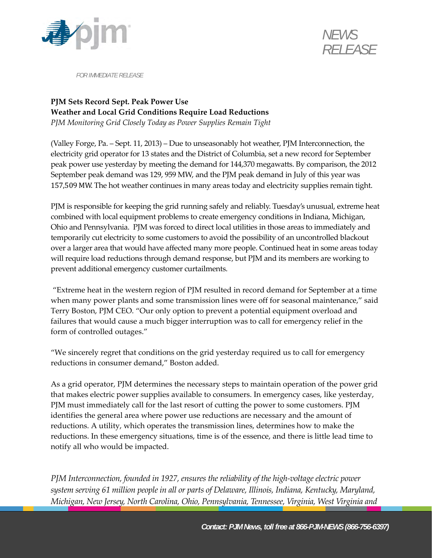



*FOR IMMEDIATE RELEASE* 

## **PJM Sets Record Sept. Peak Power Use Weather and Local Grid Conditions Require Load Reductions**

*PJM Monitoring Grid Closely Today as Power Supplies Remain Tight*

(Valley Forge, Pa. – Sept. 11, 2013) – Due to unseasonably hot weather, PJM Interconnection, the electricity grid operator for 13 states and the District of Columbia, set a new record for September peak power use yesterday by meeting the demand for 144,370 megawatts. By comparison, the 2012 September peak demand was 129, 959 MW, and the PJM peak demand in July of this year was 157,509 MW. The hot weather continues in many areas today and electricity supplies remain tight.

PJM is responsible for keeping the grid running safely and reliably. Tuesday's unusual, extreme heat combined with local equipment problems to create emergency conditions in Indiana, Michigan, Ohio and Pennsylvania. PJM was forced to direct local utilities in those areas to immediately and temporarily cut electricity to some customers to avoid the possibility of an uncontrolled blackout over a larger area that would have affected many more people. Continued heat in some areas today will require load reductions through demand response, but PJM and its members are working to prevent additional emergency customer curtailments.

"Extreme heat in the western region of PJM resulted in record demand for September at a time when many power plants and some transmission lines were off for seasonal maintenance," said Terry Boston, PJM CEO. "Our only option to prevent a potential equipment overload and failures that would cause a much bigger interruption was to call for emergency relief in the form of controlled outages."

"We sincerely regret that conditions on the grid yesterday required us to call for emergency reductions in consumer demand," Boston added.

As a grid operator, PJM determines the necessary steps to maintain operation of the power grid that makes electric power supplies available to consumers. In emergency cases, like yesterday, PJM must immediately call for the last resort of cutting the power to some customers. PJM identifies the general area where power use reductions are necessary and the amount of reductions. A utility, which operates the transmission lines, determines how to make the reductions. In these emergency situations, time is of the essence, and there is little lead time to notify all who would be impacted.

*PJM Interconnection, founded in 1927, ensures the reliability of the high‐voltage electric power system serving 61 million people in all or parts of Delaware, Illinois, Indiana, Kentucky, Maryland, Michigan, New Jersey, North Carolina, Ohio, Pennsylvania, Tennessee, Virginia, West Virginia and*